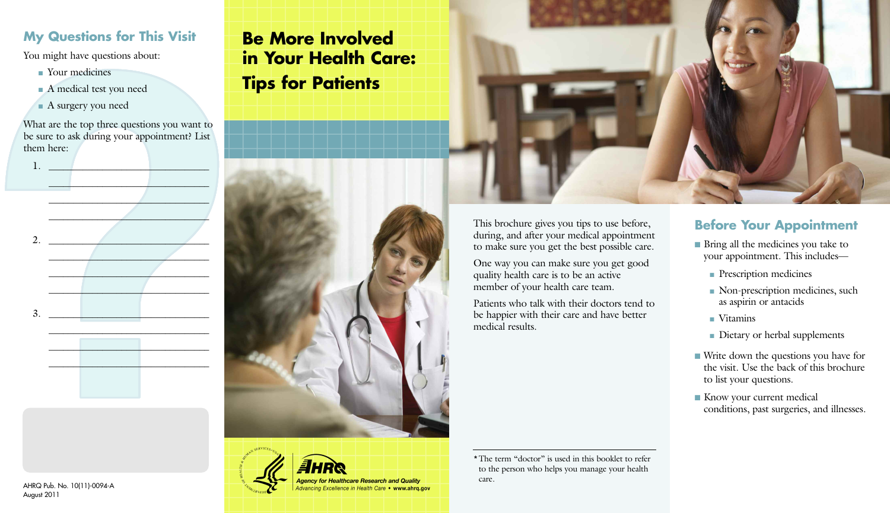### **My Questions for This Visit**

You might have questions about:

- Your medicines
- A medical test you need
- <sup>n</sup> A surgery you need

What are the top three questions you want to be sure to ask during your appointment? List them here:

 $\blacksquare$ 

 $1.$   $\blacksquare$ 



AHRQ Pub. No. 10(11)-0094-A

August 2011

# **Be More Involved in Your Health Care: Tips for Patients**





This brochure gives you tips to use before, during, and after your medical appointment to make sure you get the best possible care.

One way you can make sure you get good quality health care is to be an active member of your health care team.

Patients who talk with their doctors tend to be happier with their care and have better medical results.

\*The term "doctor" is used in this booklet to refer to the person who helps you manage your health

care.

#### **Before Your Appointment**

- Bring all the medicines you take to your appointment. This includes
	- **n** Prescription medicines
	- <sup>n</sup> Non-prescription medicines, such as aspirin or antacids
	- <sup>n</sup> Vitamins
	- Dietary or herbal supplements
- Write down the questions you have for the visit. Use the back of this brochure to list your questions.
- Know your current medical conditions, past surgeries, and illnesses.